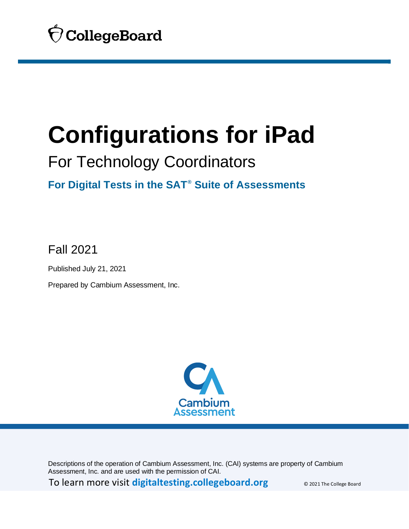

# <span id="page-0-0"></span>For Technology Coordinators

# **For Digital Tests in the SAT® Suite of Assessments**

Fall 2021

Published July 21, 2021

Prepared by Cambium Assessment, Inc.



Descriptions of the operation of Cambium Assessment, Inc. (CAI) systems are property of Cambium Assessment, Inc. and are used with the permission of CAI.

To learn more visit **[digitaltesting.collegeboard.org](https://digitaltesting.collegeboard.org/)** © 2021 The College Board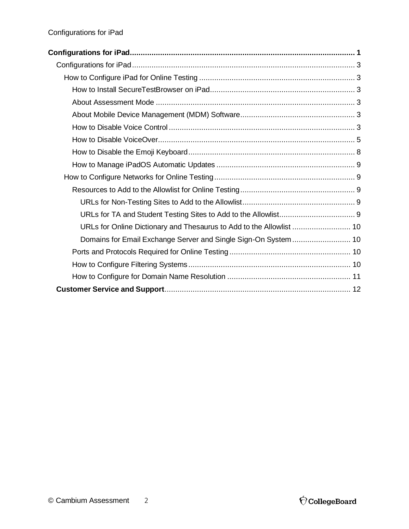| URLs for Online Dictionary and Thesaurus to Add to the Allowlist  10 |  |
|----------------------------------------------------------------------|--|
|                                                                      |  |
|                                                                      |  |
|                                                                      |  |
|                                                                      |  |
|                                                                      |  |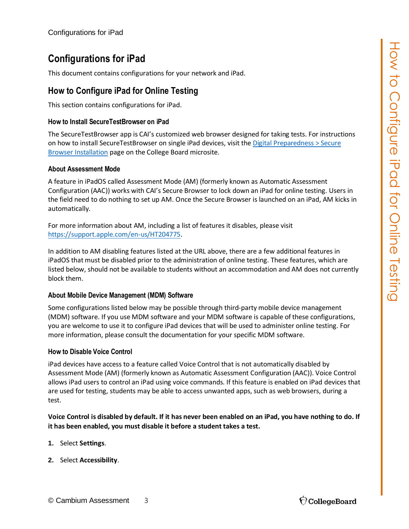<span id="page-2-0"></span>This document contains configurations for your network and iPad.

### <span id="page-2-1"></span>**How to Configure iPad for Online Testing**

This section contains configurations for iPad.

#### <span id="page-2-2"></span>**How to Install SecureTestBrowser on iPad**

The SecureTestBrowser app is CAI's customized web browser designed for taking tests. For instructions on how to install SecureTestBrowser on single iPad devices, visit the Digital Preparedness > Secure [Browser Installation](https://digitaltesting.collegeboard.org/digital-preparedness/cb-secure-browser-installation) page on the College Board microsite.

#### <span id="page-2-3"></span>**About Assessment Mode**

A feature in iPadOS called Assessment Mode (AM) (formerly known as Automatic Assessment Configuration (AAC)) works with CAI's Secure Browser to lock down an iPad for online testing. Users in the field need to do nothing to set up AM. Once the Secure Browser is launched on an iPad, AM kicks in automatically.

For more information about AM, including a list of features it disables, please visit [https://support.apple.com/en-us/HT204775.](https://support.apple.com/en-us/HT204775)

In addition to AM disabling features listed at the URL above, there are a few additional features in iPadOS that must be disabled prior to the administration of online testing. These features, which are listed below, should not be available to students without an accommodation and AM does not currently block them.

#### <span id="page-2-4"></span>**About Mobile Device Management (MDM) Software**

Some configurations listed below may be possible through third-party mobile device management (MDM) software. If you use MDM software and your MDM software is capable of these configurations, you are welcome to use it to configure iPad devices that will be used to administer online testing. For more information, please consult the documentation for your specific MDM software.

#### <span id="page-2-5"></span>**How to Disable Voice Control**

iPad devices have access to a feature called Voice Control that is not automatically disabled by Assessment Mode (AM) (formerly known as Automatic Assessment Configuration (AAC)). Voice Control allows iPad users to control an iPad using voice commands. If this feature is enabled on iPad devices that are used for testing, students may be able to access unwanted apps, such as web browsers, during a test.

**Voice Control is disabled by default. If it has never been enabled on an iPad, you have nothing to do. If it has been enabled, you must disable it before a student takes a test.**

- **1.** Select **Settings**.
- **2.** Select **Accessibility**.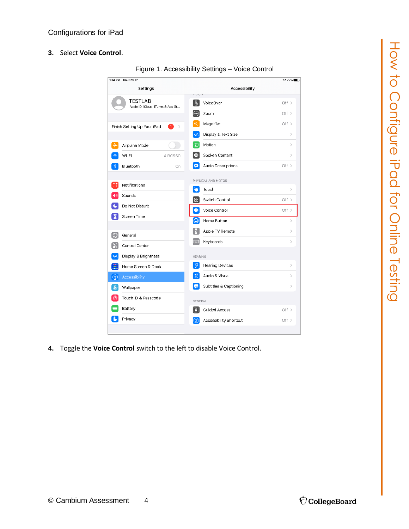**3.** Select **Voice Control**.



Figure 1. Accessibility Settings – Voice Control

**4.** Toggle the **Voice Control** switch to the left to disable Voice Control.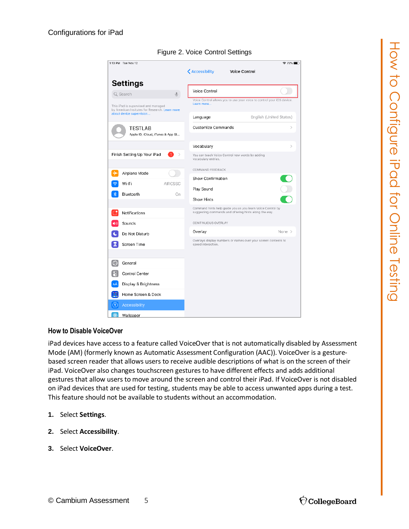

#### Figure 2. Voice Control Settings

#### <span id="page-4-0"></span>**How to Disable VoiceOver**

iPad devices have access to a feature called VoiceOver that is not automatically disabled by Assessment Mode (AM) (formerly known as Automatic Assessment Configuration (AAC)). VoiceOver is a gesturebased screen reader that allows users to receive audible descriptions of what is on the screen of their iPad. VoiceOver also changes touchscreen gestures to have different effects and adds additional gestures that allow users to move around the screen and control their iPad. If VoiceOver is not disabled on iPad devices that are used for testing, students may be able to access unwanted apps during a test. This feature should not be available to students without an accommodation.

- **1.** Select **Settings**.
- **2.** Select **Accessibility**.
- **3.** Select **VoiceOver**.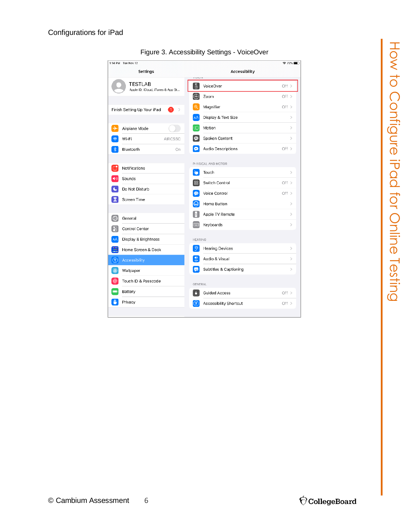| 1:14 PM Tue Nov 12                                  |                                      | $72\%$        |
|-----------------------------------------------------|--------------------------------------|---------------|
| Settings                                            | Accessibility<br>VIGIUM              |               |
| <b>TESTLAB</b><br>Apple ID, iCloud, iTunes & App St | $\mathbb{C}$<br>VoiceOver            | Off $>$       |
|                                                     | ۳<br>Zoom                            | Off >         |
| Finish Setting Up Your iPad<br>n<br>$\rightarrow$   | $\mathfrak{D}$<br>Magnifier          | Off >         |
|                                                     | AA<br>Display & Text Size            | $\mathcal{P}$ |
| ⊬<br>Airplane Mode                                  | Motion<br>$\bigcap$                  | $\mathcal{P}$ |
| Wi-Fi<br><b>AIRCSSC</b>                             | Spoken Content<br>⊕                  | $\mathcal{P}$ |
| Bluetooth<br>On                                     | ø<br>Audio Descriptions              | Off $>$       |
|                                                     | PHYSICAL AND MOTOR                   |               |
| Notifications                                       | Ŷ.<br>Touch                          | $\mathcal{P}$ |
| Sounds                                              | 88<br>Switch Control                 | Off >         |
| Do Not Disturb                                      | Voice Control<br>⊛                   | Off >         |
| 큧<br>Screen Time                                    | ♤<br>Home Button                     | $\mathcal{P}$ |
| ⊙<br>General                                        | Apple TV Remote<br>H                 | $\mathcal{P}$ |
| ြင<br>Control Center                                | Keyboards<br><b>FOUR</b>             | $\rm{>}$      |
| AÅ<br>Display & Brightness                          | <b>HEARING</b>                       |               |
| ₩<br>Home Screen & Dock                             | $\partial$<br><b>Hearing Devices</b> | $\,>\,$       |
| $\circledR$<br>Accessibility                        | 悲<br>Audio & Visual                  | $\mathcal{P}$ |
| தி<br>Wallpaper                                     | $n -$<br>Subtitles & Captioning      | $\,>\,$       |
| Touch ID & Passcode                                 |                                      |               |
| Battery                                             | GENERAL<br>n<br>Guided Access        | Off $>$       |
| Privacy                                             | $(\pi)$                              | Off >         |
|                                                     | Accessibility Shortcut               |               |

#### Figure 3. Accessibility Settings - VoiceOver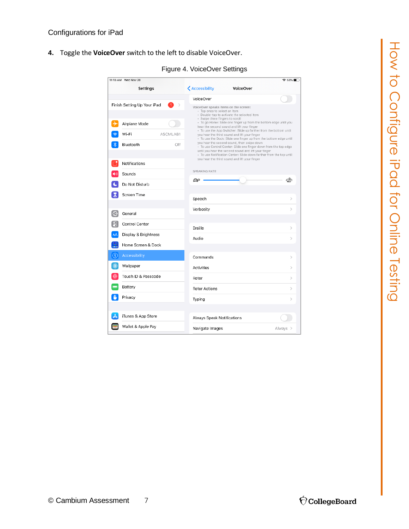**4.** Toggle the **VoiceOver** switch to the left to disable VoiceOver.

| 11:13 AM Wed Nov 20                                |                                                                                                                                                                                                                                               | କ 83% ∎ା      |
|----------------------------------------------------|-----------------------------------------------------------------------------------------------------------------------------------------------------------------------------------------------------------------------------------------------|---------------|
| <b>Settings</b>                                    | <b>く</b> Accessibility<br>VoiceOver                                                                                                                                                                                                           |               |
|                                                    | VoiceOver                                                                                                                                                                                                                                     |               |
| Finish Setting Up Your iPad<br>-1<br>$\mathcal{P}$ | VoiceOver speaks items on the screen:<br>- Tap once to select an item<br>- Double-tap to activate the selected item                                                                                                                           |               |
| Airplane Mode                                      | - Swipe three fingers to scroll<br>- To go Home: Slide one finger up from the bottom edge until you<br>hear the second sound and lift your finger                                                                                             |               |
| Wi-Fi<br>ASCMLAB1                                  | • To use the App Switcher: Slide up farther from the bottom until<br>you hear the third sound and lift your finger<br>· To use the Dock: Slide one finger up from the bottom edge until                                                       |               |
| Bluetooth<br>Off                                   | you hear the second sound, then swipe down<br>- To use Control Center: Slide one finger down from the top edge<br>until you hear the second sound and lift your finger<br>- To use Notification Center: Slide down farther from the top until |               |
| Notifications                                      | you hear the third sound and lift your finger                                                                                                                                                                                                 |               |
| Sounds                                             | SPEAKING RATE                                                                                                                                                                                                                                 |               |
| Do Not Disturb                                     | ጮ                                                                                                                                                                                                                                             | ≪             |
| Screen Time                                        | Speech                                                                                                                                                                                                                                        | $\mathcal{P}$ |
| Ð<br>General                                       | Verbosity                                                                                                                                                                                                                                     | $\rightarrow$ |
|                                                    |                                                                                                                                                                                                                                               |               |
| Control Center                                     | Braille                                                                                                                                                                                                                                       | $\mathcal{P}$ |
| AÅ<br>Display & Brightness                         | Audio                                                                                                                                                                                                                                         | $\mathcal{P}$ |
| ₩<br>Home Screen & Dock                            |                                                                                                                                                                                                                                               |               |
| $\circledR$<br>Accessibility                       | Commands                                                                                                                                                                                                                                      | $\mathcal{P}$ |
| \$<br>Wallpaper                                    | Activities                                                                                                                                                                                                                                    | ⋋             |
| Touch ID & Passcode                                | Rotor                                                                                                                                                                                                                                         | $\mathcal{P}$ |
| Battery                                            | <b>Rotor Actions</b>                                                                                                                                                                                                                          | $\,>\,$       |
| Privacy                                            | Typing                                                                                                                                                                                                                                        | $\,>\,$       |
| iTunes & App Store                                 |                                                                                                                                                                                                                                               |               |
|                                                    | Always Speak Notifications                                                                                                                                                                                                                    |               |
| Wallet & Apple Pay                                 | Navigate Images                                                                                                                                                                                                                               | Always >      |

Figure 4. VoiceOver Settings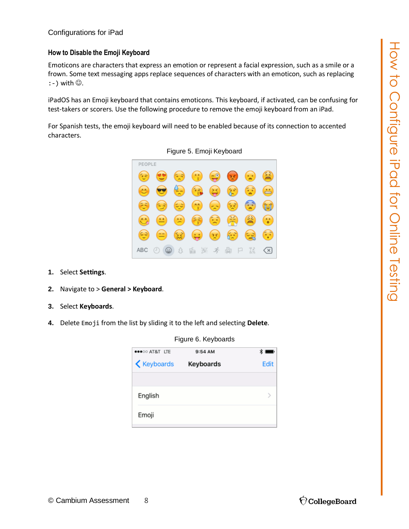#### <span id="page-7-0"></span>**How to Disable the Emoji Keyboard**

Emoticons are characters that express an emotion or represent a facial expression, such as a smile or a frown. Some text messaging apps replace sequences of characters with an emoticon, such as replacing  $:-$ ) with  $\circledcirc$ .

iPadOS has an Emoji keyboard that contains emoticons. This keyboard, if activated, can be confusing for test-takers or scorers. Use the following procedure to remove the emoji keyboard from an iPad.

For Spanish tests, the emoji keyboard will need to be enabled because of its connection to accented characters.



Figure 5. Emoji Keyboard

- **1.** Select **Settings**.
- **2.** Navigate to > **General > Keyboard**.
- **3.** Select **Keyboards**.
- **4.** Delete Emoji from the list by sliding it to the left and selecting **Delete**.

●●●○○ AT&T LTE 9:54 AM  $\ast$ **≮** Keyboards Keyboards Edit English  $\mathcal{P}$ Emoji

Figure 6. Keyboards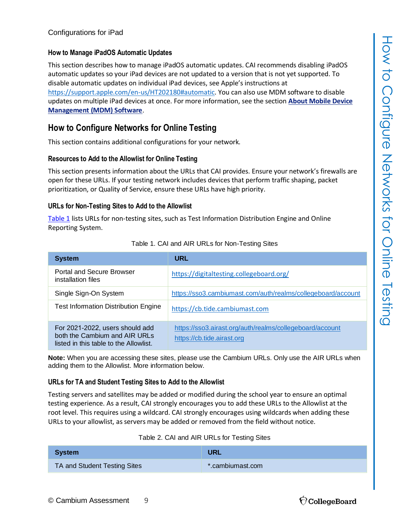#### <span id="page-8-0"></span>**How to Manage iPadOS Automatic Updates**

This section describes how to manage iPadOS automatic updates. CAI recommends disabling iPadOS automatic updates so your iPad devices are not updated to a version that is not yet supported. To disable automatic updates on individual iPad devices, see Apple's instructions at [https://support.apple.com/en-us/HT202180#automatic.](https://support.apple.com/en-us/HT202180#automatic) You can also use MDM software to disable updates on multiple iPad devices at once. For more information, see the section **[About Mobile Device](#page-2-4)  [Management \(MDM\) Software](#page-2-4)**.

#### <span id="page-8-1"></span>**How to Configure Networks for Online Testing**

This section contains additional configurations for your network.

#### <span id="page-8-2"></span>**Resources to Add to the Allowlist for Online Testing**

This section presents information about the URLs that CAI provides. Ensure your network's firewalls are open for these URLs. If your testing network includes devices that perform traffic shaping, packet prioritization, or Quality of Service, ensure these URLs have high priority.

#### <span id="page-8-3"></span>**URLs for Non-Testing Sites to Add to the Allowlist**

[Table](#page-8-5) 1 lists URLs for non-testing sites, such as Test Information Distribution Engine and Online Reporting System.

<span id="page-8-5"></span>

| <b>System</b>                                                                                              | <b>URL</b>                                                                             |
|------------------------------------------------------------------------------------------------------------|----------------------------------------------------------------------------------------|
| Portal and Secure Browser<br>installation files                                                            | https://digitaltesting.collegeboard.org/                                               |
| Single Sign-On System                                                                                      | https://sso3.cambiumast.com/auth/realms/collegeboard/account                           |
| <b>Test Information Distribution Engine</b>                                                                | https://cb.tide.cambiumast.com                                                         |
| For 2021-2022, users should add<br>both the Cambium and AIR URLs<br>listed in this table to the Allowlist. | https://sso3.airast.org/auth/realms/collegeboard/account<br>https://cb.tide.airast.org |

#### Table 1. CAI and AIR URLs for Non-Testing Sites

**Note:** When you are accessing these sites, please use the Cambium URLs. Only use the AIR URLs when adding them to the Allowlist. More information below.

#### <span id="page-8-4"></span>**URLs for TA and Student Testing Sites to Add to the Allowlist**

Testing servers and satellites may be added or modified during the school year to ensure an optimal testing experience. As a result, CAI strongly encourages you to add these URLs to the Allowlist at the root level. This requires using a wildcard. CAI strongly encourages using wildcards when adding these URLs to your allowlist, as servers may be added or removed from the field without notice.

|  | Table 2. CAI and AIR URLs for Testing Sites |
|--|---------------------------------------------|
|--|---------------------------------------------|

<span id="page-8-6"></span>

| <b>System</b>                | <b>URL</b>       |
|------------------------------|------------------|
| TA and Student Testing Sites | *.cambiumast.com |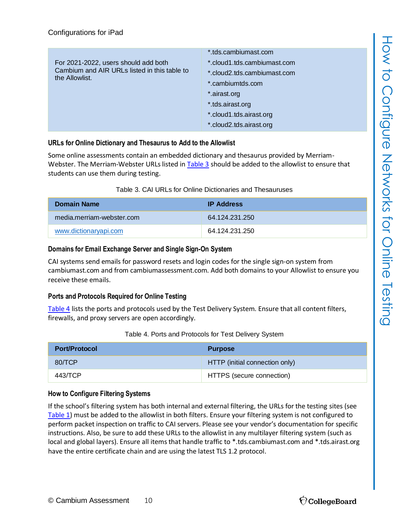| For 2021-2022, users should add both<br>Cambium and AIR URLs listed in this table to<br>the Allowlist. | *.tds.cambiumast.com<br>*.cloud1.tds.cambiumast.com<br>*.cloud2.tds.cambiumast.com<br>*.cambiumtds.com<br>*.airast.org<br>*.tds.airast.org<br>*.cloud1.tds.airast.org |
|--------------------------------------------------------------------------------------------------------|-----------------------------------------------------------------------------------------------------------------------------------------------------------------------|
|                                                                                                        | *.cloud2.tds.airast.org                                                                                                                                               |

#### <span id="page-9-0"></span>**URLs for Online Dictionary and Thesaurus to Add to the Allowlist**

Some online assessments contain an embedded dictionary and thesaurus provided by Merriam-Webster. The Merriam-Webster URLs listed in [Table](#page-9-4) 3 should be added to the allowlist to ensure that students can use them during testing.

<span id="page-9-4"></span>

| <b>Domain Name</b>        | <b>IP Address</b> |
|---------------------------|-------------------|
| media.merriam-webster.com | 64 124 231 250    |
| www.dictionaryapi.com     | 64 124 231 250    |

#### <span id="page-9-1"></span>**Domains for Email Exchange Server and Single Sign-On System**

CAI systems send emails for password resets and login codes for the single sign-on system from cambiumast.com and from cambiumassessment.com. Add both domains to your Allowlist to ensure you receive these emails.

#### <span id="page-9-2"></span>**Ports and Protocols Required for Online Testing**

[Table](#page-9-5) 4 lists the ports and protocols used by the Test Delivery System. Ensure that all content filters, firewalls, and proxy servers are open accordingly.

<span id="page-9-5"></span>

| <b>Port/Protocol</b> | <b>Purpose</b>                 |
|----------------------|--------------------------------|
| 80/TCP               | HTTP (initial connection only) |
| 443/TCP              | HTTPS (secure connection)      |

#### Table 4. Ports and Protocols for Test Delivery System

#### <span id="page-9-3"></span>**How to Configure Filtering Systems**

If the school's filtering system has both internal and external filtering, the URLs for the testing sites (see [Table](#page-8-5) 1) must be added to the allowlist in both filters. Ensure your filtering system is not configured to perform packet inspection on traffic to CAI servers. Please see your vendor's documentation for specific instructions. Also, be sure to add these URLs to the allowlist in any multilayer filtering system (such as local and global layers). Ensure all items that handle traffic to \*.tds.cambiumast.com and \*.tds.airast.org have the entire certificate chain and are using the latest TLS 1.2 protocol.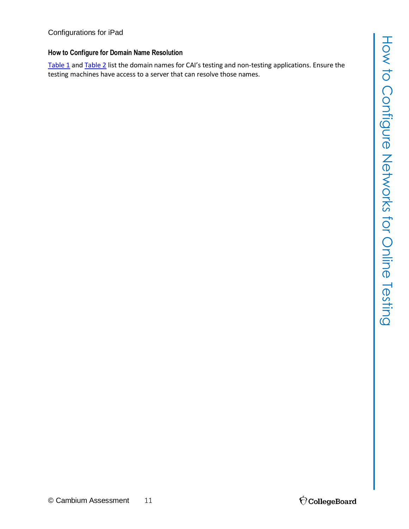#### <span id="page-10-0"></span>**How to Configure for Domain Name Resolution**

[Table](#page-8-5) 1 an[d Table](#page-8-6) 2 list the domain names for CAI's testing and non-testing applications. Ensure the testing machines have access to a server that can resolve those names.